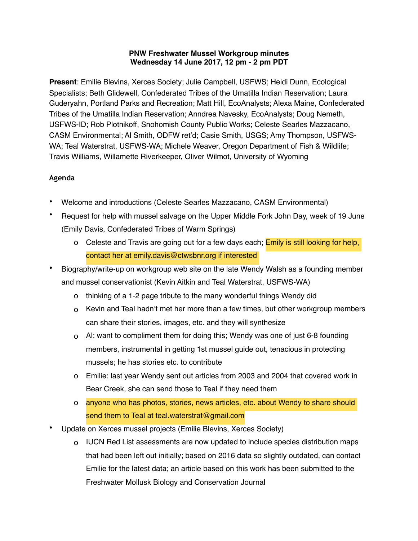## **PNW Freshwater Mussel Workgroup minutes Wednesday 14 June 2017, 12 pm - 2 pm PDT**

**Present**: Emilie Blevins, Xerces Society; Julie Campbell, USFWS; Heidi Dunn, Ecological Specialists; Beth Glidewell, Confederated Tribes of the Umatilla Indian Reservation; Laura Guderyahn, Portland Parks and Recreation; Matt Hill, EcoAnalysts; Alexa Maine, Confederated Tribes of the Umatilla Indian Reservation; Anndrea Navesky, EcoAnalysts; Doug Nemeth, USFWS-ID; Rob Plotnikoff, Snohomish County Public Works; Celeste Searles Mazzacano, CASM Environmental; Al Smith, ODFW ret'd; Casie Smith, USGS; Amy Thompson, USFWS-WA; Teal Waterstrat, USFWS-WA; Michele Weaver, Oregon Department of Fish & Wildlife; Travis Williams, Willamette Riverkeeper, Oliver Wilmot, University of Wyoming

## **Agenda**

- Welcome and introductions (Celeste Searles Mazzacano, CASM Environmental)
- Request for help with mussel salvage on the Upper Middle Fork John Day, week of 19 June (Emily Davis, Confederated Tribes of Warm Springs)
	- o Celeste and Travis are going out for a few days each; **Emily is still looking for help**, contact her at [emily.davis@ctwsbnr.org](mailto:emily.davis@ctwsbnr.org) if interested
- Biography/write-up on workgroup web site on the late Wendy Walsh as a founding member and mussel conservationist (Kevin Aitkin and Teal Waterstrat, USFWS-WA)
	- o thinking of a 1-2 page tribute to the many wonderful things Wendy did
	- o Kevin and Teal hadn't met her more than a few times, but other workgroup members can share their stories, images, etc. and they will synthesize
	- o Al: want to compliment them for doing this; Wendy was one of just 6-8 founding members, instrumental in getting 1st mussel guide out, tenacious in protecting mussels; he has stories etc. to contribute
	- o Emilie: last year Wendy sent out articles from 2003 and 2004 that covered work in Bear Creek, she can send those to Teal if they need them
	- o anyone who has photos, stories, news articles, etc. about Wendy to share should send them to Teal at teal.waterstrat@gmail.com
- Update on Xerces mussel projects (Emilie Blevins, Xerces Society)
	- o IUCN Red List assessments are now updated to include species distribution maps that had been left out initially; based on 2016 data so slightly outdated, can contact Emilie for the latest data; an article based on this work has been submitted to the Freshwater Mollusk Biology and Conservation Journal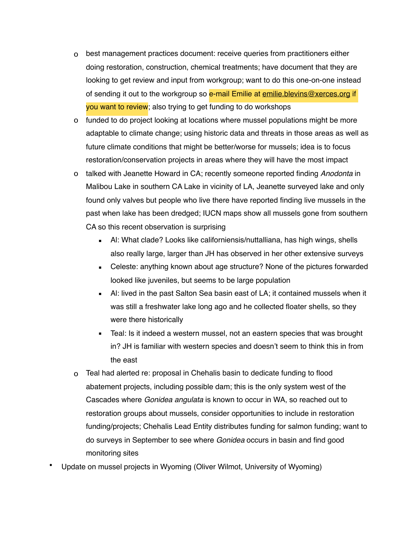- o best management practices document: receive queries from practitioners either doing restoration, construction, chemical treatments; have document that they are looking to get review and input from workgroup; want to do this one-on-one instead of sending it out to the workgroup so e-mail Emilie at [emilie.blevins@xerces.org](mailto:emilie.blevins@xerces.org) if you want to review; also trying to get funding to do workshops
- o funded to do project looking at locations where mussel populations might be more adaptable to climate change; using historic data and threats in those areas as well as future climate conditions that might be better/worse for mussels; idea is to focus restoration/conservation projects in areas where they will have the most impact
- o talked with Jeanette Howard in CA; recently someone reported finding *Anodonta* in Malibou Lake in southern CA Lake in vicinity of LA, Jeanette surveyed lake and only found only valves but people who live there have reported finding live mussels in the past when lake has been dredged; IUCN maps show all mussels gone from southern CA so this recent observation is surprising
	- Al: What clade? Looks like californiensis/nuttalliana, has high wings, shells also really large, larger than JH has observed in her other extensive surveys
	- Celeste: anything known about age structure? None of the pictures forwarded looked like juveniles, but seems to be large population
	- AI: lived in the past Salton Sea basin east of LA; it contained mussels when it was still a freshwater lake long ago and he collected floater shells, so they were there historically
	- **EXECT** Teal: Is it indeed a western mussel, not an eastern species that was brought in? JH is familiar with western species and doesn't seem to think this in from the east
- o Teal had alerted re: proposal in Chehalis basin to dedicate funding to flood abatement projects, including possible dam; this is the only system west of the Cascades where *Gonidea angulata* is known to occur in WA, so reached out to restoration groups about mussels, consider opportunities to include in restoration funding/projects; Chehalis Lead Entity distributes funding for salmon funding; want to do surveys in September to see where *Gonidea* occurs in basin and find good monitoring sites
- Update on mussel projects in Wyoming (Oliver Wilmot, University of Wyoming)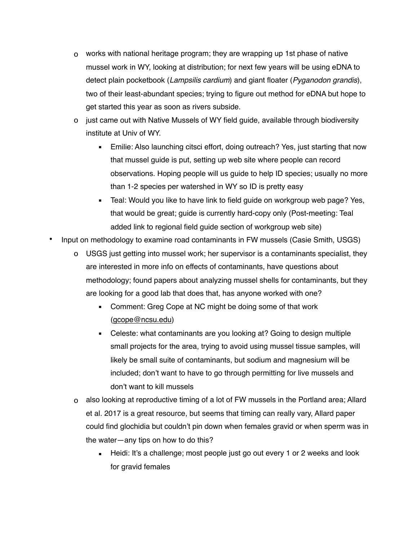- o works with national heritage program; they are wrapping up 1st phase of native mussel work in WY, looking at distribution; for next few years will be using eDNA to detect plain pocketbook (*Lampsilis cardium*) and giant floater (*Pyganodon grandis*), two of their least-abundant species; trying to figure out method for eDNA but hope to get started this year as soon as rivers subside.
- o just came out with Native Mussels of WY field guide, available through biodiversity institute at Univ of WY.
	- **Emilie: Also launching citsci effort, doing outreach? Yes, just starting that now** that mussel guide is put, setting up web site where people can record observations. Hoping people will us guide to help ID species; usually no more than 1-2 species per watershed in WY so ID is pretty easy
	- Teal: Would you like to have link to field guide on workgroup web page? Yes, that would be great; guide is currently hard-copy only (Post-meeting: Teal added link to regional field guide section of workgroup web site)
- Input on methodology to examine road contaminants in FW mussels (Casie Smith, USGS)
	- o USGS just getting into mussel work; her supervisor is a contaminants specialist, they are interested in more info on effects of contaminants, have questions about methodology; found papers about analyzing mussel shells for contaminants, but they are looking for a good lab that does that, has anyone worked with one?
		- **Comment: Greg Cope at NC might be doing some of that work** ([gcope@ncsu.edu](mailto:gcope@ncsu.edu))
		- Celeste: what contaminants are you looking at? Going to design multiple small projects for the area, trying to avoid using mussel tissue samples, will likely be small suite of contaminants, but sodium and magnesium will be included; don't want to have to go through permitting for live mussels and don't want to kill mussels
	- o also looking at reproductive timing of a lot of FW mussels in the Portland area; Allard et al. 2017 is a great resource, but seems that timing can really vary, Allard paper could find glochidia but couldn't pin down when females gravid or when sperm was in the water—any tips on how to do this?
		- $\blacksquare$  Heidi: It's a challenge; most people just go out every 1 or 2 weeks and look for gravid females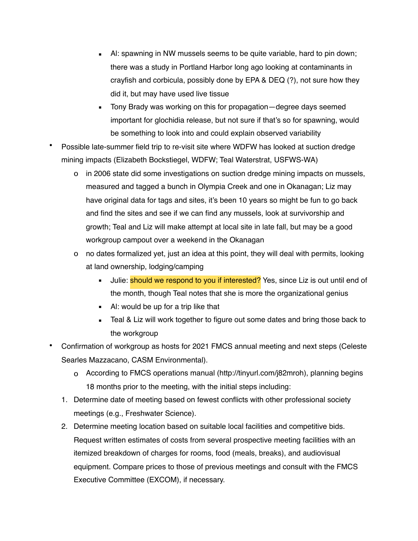- Al: spawning in NW mussels seems to be quite variable, hard to pin down; there was a study in Portland Harbor long ago looking at contaminants in crayfish and corbicula, possibly done by EPA & DEQ (?), not sure how they did it, but may have used live tissue
- **Tony Brady was working on this for propagation—degree days seemed** important for glochidia release, but not sure if that's so for spawning, would be something to look into and could explain observed variability
- Possible late-summer field trip to re-visit site where WDFW has looked at suction dredge mining impacts (Elizabeth Bockstiegel, WDFW; Teal Waterstrat, USFWS-WA)
	- o in 2006 state did some investigations on suction dredge mining impacts on mussels, measured and tagged a bunch in Olympia Creek and one in Okanagan; Liz may have original data for tags and sites, it's been 10 years so might be fun to go back and find the sites and see if we can find any mussels, look at survivorship and growth; Teal and Liz will make attempt at local site in late fall, but may be a good workgroup campout over a weekend in the Okanagan
	- o no dates formalized yet, just an idea at this point, they will deal with permits, looking at land ownership, lodging/camping
		- **E** Julie: **should we respond to you if interested?** Yes, since Liz is out until end of the month, though Teal notes that she is more the organizational genius
		- Al: would be up for a trip like that
		- Teal & Liz will work together to figure out some dates and bring those back to the workgroup
- Confirmation of workgroup as hosts for 2021 FMCS annual meeting and next steps (Celeste Searles Mazzacano, CASM Environmental).
	- o According to FMCS operations manual (http://tinyurl.com/j82mroh), planning begins 18 months prior to the meeting, with the initial steps including:
	- 1. Determine date of meeting based on fewest conflicts with other professional society meetings (e.g., Freshwater Science).
	- 2. Determine meeting location based on suitable local facilities and competitive bids. Request written estimates of costs from several prospective meeting facilities with an itemized breakdown of charges for rooms, food (meals, breaks), and audiovisual equipment. Compare prices to those of previous meetings and consult with the FMCS Executive Committee (EXCOM), if necessary.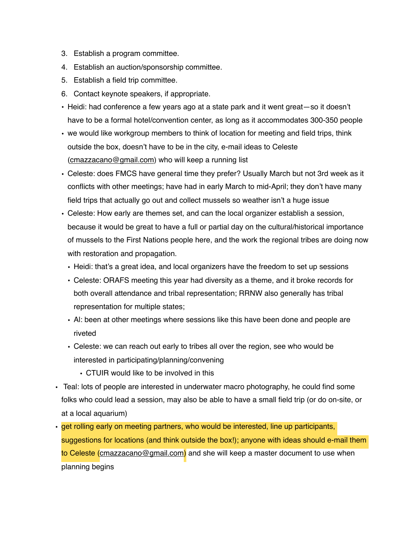- 3. Establish a program committee.
- 4. Establish an auction/sponsorship committee.
- 5. Establish a field trip committee.
- 6. Contact keynote speakers, if appropriate.
- Heidi: had conference a few years ago at a state park and it went great—so it doesn't have to be a formal hotel/convention center, as long as it accommodates 300-350 people
- we would like workgroup members to think of location for meeting and field trips, think outside the box, doesn't have to be in the city, e-mail ideas to Celeste ([cmazzacano@gmail.com\)](mailto:cmazzacano@gmail.com) who will keep a running list
- Celeste: does FMCS have general time they prefer? Usually March but not 3rd week as it conflicts with other meetings; have had in early March to mid-April; they don't have many field trips that actually go out and collect mussels so weather isn't a huge issue
- Celeste: How early are themes set, and can the local organizer establish a session, because it would be great to have a full or partial day on the cultural/historical importance of mussels to the First Nations people here, and the work the regional tribes are doing now with restoration and propagation.
	- Heidi: that's a great idea, and local organizers have the freedom to set up sessions
	- Celeste: ORAFS meeting this year had diversity as a theme, and it broke records for both overall attendance and tribal representation; RRNW also generally has tribal representation for multiple states;
	- Al: been at other meetings where sessions like this have been done and people are riveted
	- Celeste: we can reach out early to tribes all over the region, see who would be interested in participating/planning/convening
		- CTUIR would like to be involved in this
- Teal: lots of people are interested in underwater macro photography, he could find some folks who could lead a session, may also be able to have a small field trip (or do on-site, or at a local aquarium)
- get rolling early on meeting partners, who would be interested, line up participants, suggestions for locations (and think outside the box!); anyone with ideas should e-mail them to Celeste [\(cmazzacano@gmail.com](mailto:cmazzacano@gmail.com)) and she will keep a master document to use when planning begins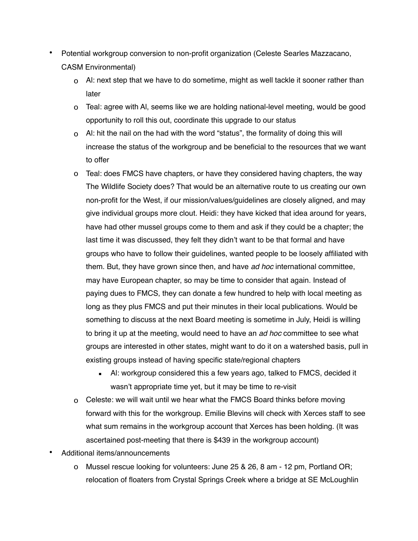- Potential workgroup conversion to non-profit organization (Celeste Searles Mazzacano, CASM Environmental)
	- o Al: next step that we have to do sometime, might as well tackle it sooner rather than later
	- o Teal: agree with Al, seems like we are holding national-level meeting, would be good opportunity to roll this out, coordinate this upgrade to our status
	- o Al: hit the nail on the had with the word "status", the formality of doing this will increase the status of the workgroup and be beneficial to the resources that we want to offer
	- o Teal: does FMCS have chapters, or have they considered having chapters, the way The Wildlife Society does? That would be an alternative route to us creating our own non-profit for the West, if our mission/values/guidelines are closely aligned, and may give individual groups more clout. Heidi: they have kicked that idea around for years, have had other mussel groups come to them and ask if they could be a chapter; the last time it was discussed, they felt they didn't want to be that formal and have groups who have to follow their guidelines, wanted people to be loosely affiliated with them. But, they have grown since then, and have *ad hoc* international committee, may have European chapter, so may be time to consider that again. Instead of paying dues to FMCS, they can donate a few hundred to help with local meeting as long as they plus FMCS and put their minutes in their local publications. Would be something to discuss at the next Board meeting is sometime in July, Heidi is willing to bring it up at the meeting, would need to have an *ad hoc* committee to see what groups are interested in other states, might want to do it on a watershed basis, pull in existing groups instead of having specific state/regional chapters
		- **EXECT** Al: workgroup considered this a few years ago, talked to FMCS, decided it wasn't appropriate time yet, but it may be time to re-visit
	- o Celeste: we will wait until we hear what the FMCS Board thinks before moving forward with this for the workgroup. Emilie Blevins will check with Xerces staff to see what sum remains in the workgroup account that Xerces has been holding. (It was ascertained post-meeting that there is \$439 in the workgroup account)
- Additional items/announcements
	- o Mussel rescue looking for volunteers: June 25 & 26, 8 am 12 pm, Portland OR; relocation of floaters from Crystal Springs Creek where a bridge at SE McLoughlin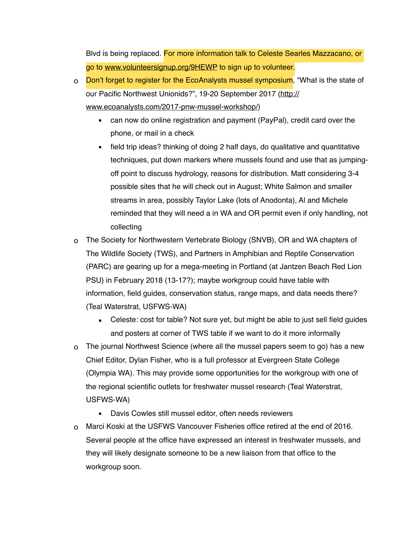Blvd is being replaced. For more information talk to Celeste Searles Mazzacano, or go to [www.volunteersignup.org/9HEWP](http://www.volunteersignup.org/9HEWP) to sign up to volunteer.

o Don't forget to register for the EcoAnalysts mussel symposium, "What is the state of our Pacific Northwest Unionids?", 19-20 September 2017 ([http://](http://www.ecoanalysts.com/2017-pnw-mussel-workshop/) [www.ecoanalysts.com/2017-pnw-mussel-workshop/\)](http://www.ecoanalysts.com/2017-pnw-mussel-workshop/)

- can now do online registration and payment (PayPal), credit card over the phone, or mail in a check
- field trip ideas? thinking of doing 2 half days, do qualitative and quantitative techniques, put down markers where mussels found and use that as jumpingoff point to discuss hydrology, reasons for distribution. Matt considering 3-4 possible sites that he will check out in August; White Salmon and smaller streams in area, possibly Taylor Lake (lots of Anodonta), Al and Michele reminded that they will need a in WA and OR permit even if only handling, not collecting
- o The Society for Northwestern Vertebrate Biology (SNVB), OR and WA chapters of The Wildlife Society (TWS), and Partners in Amphibian and Reptile Conservation (PARC) are gearing up for a mega-meeting in Portland (at Jantzen Beach Red Lion PSU) in February 2018 (13-17?); maybe workgroup could have table with information, field guides, conservation status, range maps, and data needs there? (Teal Waterstrat, USFWS-WA)
	- **EXEL** Celeste: cost for table? Not sure yet, but might be able to just sell field guides and posters at corner of TWS table if we want to do it more informally
- o The journal Northwest Science (where all the mussel papers seem to go) has a new Chief Editor, Dylan Fisher, who is a full professor at Evergreen State College (Olympia WA). This may provide some opportunities for the workgroup with one of the regional scientific outlets for freshwater mussel research (Teal Waterstrat, USFWS-WA)
	- Davis Cowles still mussel editor, often needs reviewers
- o Marci Koski at the USFWS Vancouver Fisheries office retired at the end of 2016. Several people at the office have expressed an interest in freshwater mussels, and they will likely designate someone to be a new liaison from that office to the workgroup soon.